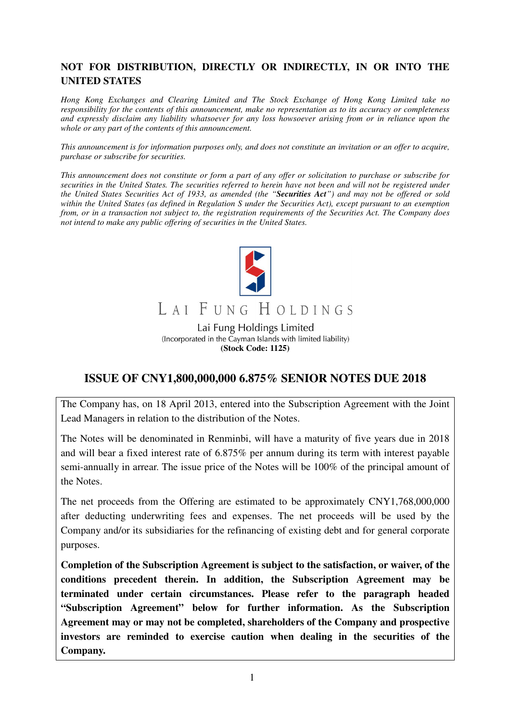# **NOT FOR DISTRIBUTION, DIRECTLY OR INDIRECTLY, IN OR INTO THE UNITED STATES**

*Hong Kong Exchanges and Clearing Limited and The Stock Exchange of Hong Kong Limited take no responsibility for the contents of this announcement, make no representation as to its accuracy or completeness and expressly disclaim any liability whatsoever for any loss howsoever arising from or in reliance upon the whole or any part of the contents of this announcement.* 

*This announcement is for information purposes only, and does not constitute an invitation or an offer to acquire, purchase or subscribe for securities.* 

*This announcement does not constitute or form a part of any offer or solicitation to purchase or subscribe for securities in the United States. The securities referred to herein have not been and will not be registered under the United States Securities Act of 1933, as amended (the "Securities Act") and may not be offered or sold within the United States (as defined in Regulation S under the Securities Act), except pursuant to an exemption from, or in a transaction not subject to, the registration requirements of the Securities Act. The Company does not intend to make any public offering of securities in the United States.* 



# LAI FUNG HOLDINGS

Lai Fung Holdings Limited (Incorporated in the Cayman Islands with limited liability) **(Stock Code: 1125)**

# **ISSUE OF CNY1,800,000,000 6.875% SENIOR NOTES DUE 2018**

The Company has, on 18 April 2013, entered into the Subscription Agreement with the Joint Lead Managers in relation to the distribution of the Notes.

The Notes will be denominated in Renminbi, will have a maturity of five years due in 2018 and will bear a fixed interest rate of 6.875% per annum during its term with interest payable semi-annually in arrear. The issue price of the Notes will be 100% of the principal amount of the Notes.

The net proceeds from the Offering are estimated to be approximately CNY1,768,000,000 after deducting underwriting fees and expenses. The net proceeds will be used by the Company and/or its subsidiaries for the refinancing of existing debt and for general corporate purposes.

**Completion of the Subscription Agreement is subject to the satisfaction, or waiver, of the conditions precedent therein. In addition, the Subscription Agreement may be terminated under certain circumstances. Please refer to the paragraph headed "Subscription Agreement" below for further information. As the Subscription Agreement may or may not be completed, shareholders of the Company and prospective investors are reminded to exercise caution when dealing in the securities of the Company.**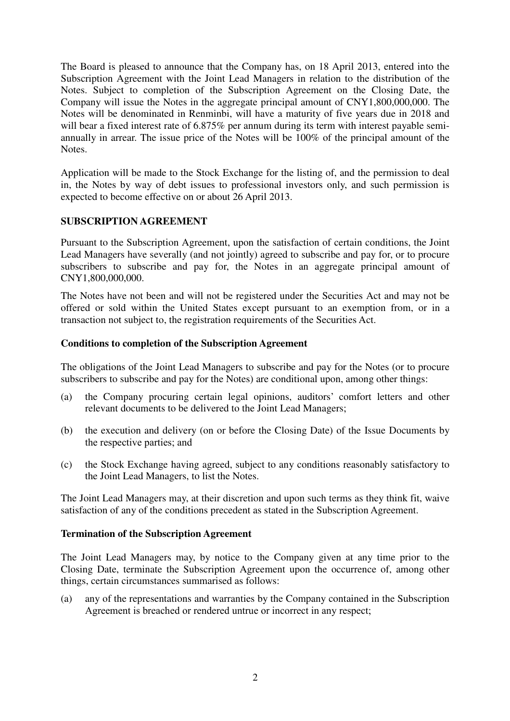The Board is pleased to announce that the Company has, on 18 April 2013, entered into the Subscription Agreement with the Joint Lead Managers in relation to the distribution of the Notes. Subject to completion of the Subscription Agreement on the Closing Date, the Company will issue the Notes in the aggregate principal amount of CNY1,800,000,000. The Notes will be denominated in Renminbi, will have a maturity of five years due in 2018 and will bear a fixed interest rate of 6.875% per annum during its term with interest payable semiannually in arrear. The issue price of the Notes will be 100% of the principal amount of the Notes.

Application will be made to the Stock Exchange for the listing of, and the permission to deal in, the Notes by way of debt issues to professional investors only, and such permission is expected to become effective on or about 26 April 2013.

### **SUBSCRIPTION AGREEMENT**

Pursuant to the Subscription Agreement, upon the satisfaction of certain conditions, the Joint Lead Managers have severally (and not jointly) agreed to subscribe and pay for, or to procure subscribers to subscribe and pay for, the Notes in an aggregate principal amount of CNY1,800,000,000.

The Notes have not been and will not be registered under the Securities Act and may not be offered or sold within the United States except pursuant to an exemption from, or in a transaction not subject to, the registration requirements of the Securities Act.

#### **Conditions to completion of the Subscription Agreement**

The obligations of the Joint Lead Managers to subscribe and pay for the Notes (or to procure subscribers to subscribe and pay for the Notes) are conditional upon, among other things:

- (a) the Company procuring certain legal opinions, auditors' comfort letters and other relevant documents to be delivered to the Joint Lead Managers;
- (b) the execution and delivery (on or before the Closing Date) of the Issue Documents by the respective parties; and
- (c) the Stock Exchange having agreed, subject to any conditions reasonably satisfactory to the Joint Lead Managers, to list the Notes.

The Joint Lead Managers may, at their discretion and upon such terms as they think fit, waive satisfaction of any of the conditions precedent as stated in the Subscription Agreement.

#### **Termination of the Subscription Agreement**

The Joint Lead Managers may, by notice to the Company given at any time prior to the Closing Date, terminate the Subscription Agreement upon the occurrence of, among other things, certain circumstances summarised as follows:

(a) any of the representations and warranties by the Company contained in the Subscription Agreement is breached or rendered untrue or incorrect in any respect;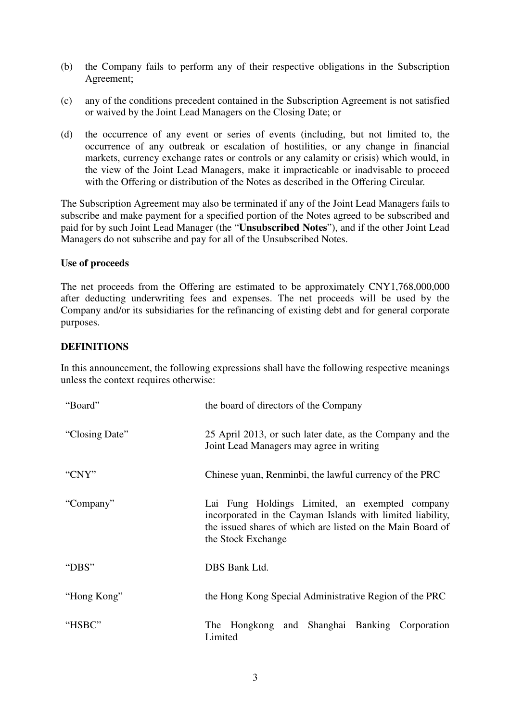- (b) the Company fails to perform any of their respective obligations in the Subscription Agreement;
- (c) any of the conditions precedent contained in the Subscription Agreement is not satisfied or waived by the Joint Lead Managers on the Closing Date; or
- (d) the occurrence of any event or series of events (including, but not limited to, the occurrence of any outbreak or escalation of hostilities, or any change in financial markets, currency exchange rates or controls or any calamity or crisis) which would, in the view of the Joint Lead Managers, make it impracticable or inadvisable to proceed with the Offering or distribution of the Notes as described in the Offering Circular.

The Subscription Agreement may also be terminated if any of the Joint Lead Managers fails to subscribe and make payment for a specified portion of the Notes agreed to be subscribed and paid for by such Joint Lead Manager (the "**Unsubscribed Notes**"), and if the other Joint Lead Managers do not subscribe and pay for all of the Unsubscribed Notes.

## **Use of proceeds**

The net proceeds from the Offering are estimated to be approximately CNY1,768,000,000 after deducting underwriting fees and expenses. The net proceeds will be used by the Company and/or its subsidiaries for the refinancing of existing debt and for general corporate purposes.

## **DEFINITIONS**

In this announcement, the following expressions shall have the following respective meanings unless the context requires otherwise:

| "Board"        | the board of directors of the Company                                                                                                                                                            |
|----------------|--------------------------------------------------------------------------------------------------------------------------------------------------------------------------------------------------|
| "Closing Date" | 25 April 2013, or such later date, as the Company and the<br>Joint Lead Managers may agree in writing                                                                                            |
| "CNY"          | Chinese yuan, Renminbi, the lawful currency of the PRC                                                                                                                                           |
| "Company"      | Lai Fung Holdings Limited, an exempted company<br>incorporated in the Cayman Islands with limited liability,<br>the issued shares of which are listed on the Main Board of<br>the Stock Exchange |
| "DBS"          | DBS Bank Ltd.                                                                                                                                                                                    |
| "Hong Kong"    | the Hong Kong Special Administrative Region of the PRC                                                                                                                                           |
| "HSBC"         | and Shanghai Banking Corporation<br>The Hongkong<br>Limited                                                                                                                                      |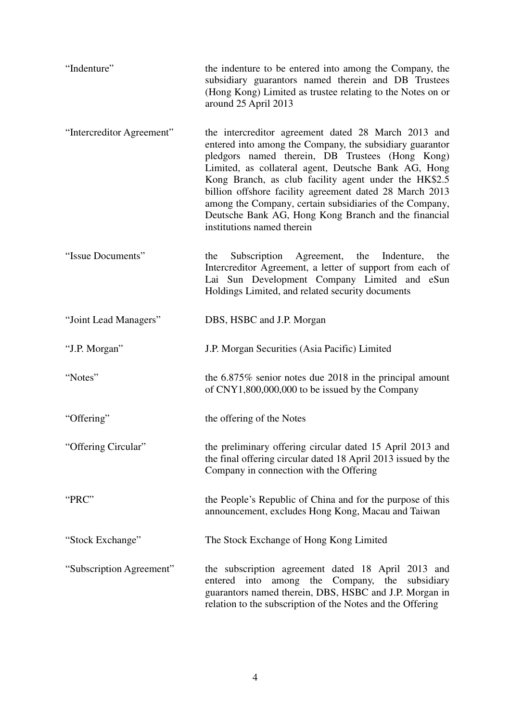| "Indenture"               | the indenture to be entered into among the Company, the<br>subsidiary guarantors named therein and DB Trustees<br>(Hong Kong) Limited as trustee relating to the Notes on or<br>around 25 April 2013                                                                                                                                                                                                                                                                                            |
|---------------------------|-------------------------------------------------------------------------------------------------------------------------------------------------------------------------------------------------------------------------------------------------------------------------------------------------------------------------------------------------------------------------------------------------------------------------------------------------------------------------------------------------|
| "Intercreditor Agreement" | the intercreditor agreement dated 28 March 2013 and<br>entered into among the Company, the subsidiary guarantor<br>pledgors named therein, DB Trustees (Hong Kong)<br>Limited, as collateral agent, Deutsche Bank AG, Hong<br>Kong Branch, as club facility agent under the HK\$2.5<br>billion offshore facility agreement dated 28 March 2013<br>among the Company, certain subsidiaries of the Company,<br>Deutsche Bank AG, Hong Kong Branch and the financial<br>institutions named therein |
| "Issue Documents"         | Agreement, the Indenture,<br>Subscription<br>the<br>the<br>Intercreditor Agreement, a letter of support from each of<br>Lai Sun Development Company Limited and eSun<br>Holdings Limited, and related security documents                                                                                                                                                                                                                                                                        |
| "Joint Lead Managers"     | DBS, HSBC and J.P. Morgan                                                                                                                                                                                                                                                                                                                                                                                                                                                                       |
| "J.P. Morgan"             | J.P. Morgan Securities (Asia Pacific) Limited                                                                                                                                                                                                                                                                                                                                                                                                                                                   |
| "Notes"                   | the $6.875\%$ senior notes due 2018 in the principal amount<br>of CNY1,800,000,000 to be issued by the Company                                                                                                                                                                                                                                                                                                                                                                                  |
| "Offering"                | the offering of the Notes                                                                                                                                                                                                                                                                                                                                                                                                                                                                       |
| "Offering Circular"       | the preliminary offering circular dated 15 April 2013 and<br>the final offering circular dated 18 April 2013 issued by the<br>Company in connection with the Offering                                                                                                                                                                                                                                                                                                                           |
| "PRC"                     | the People's Republic of China and for the purpose of this<br>announcement, excludes Hong Kong, Macau and Taiwan                                                                                                                                                                                                                                                                                                                                                                                |
| "Stock Exchange"          | The Stock Exchange of Hong Kong Limited                                                                                                                                                                                                                                                                                                                                                                                                                                                         |
| "Subscription Agreement"  | the subscription agreement dated 18 April 2013 and<br>into<br>among the<br>entered<br>Company,<br>the<br>subsidiary<br>guarantors named therein, DBS, HSBC and J.P. Morgan in<br>relation to the subscription of the Notes and the Offering                                                                                                                                                                                                                                                     |